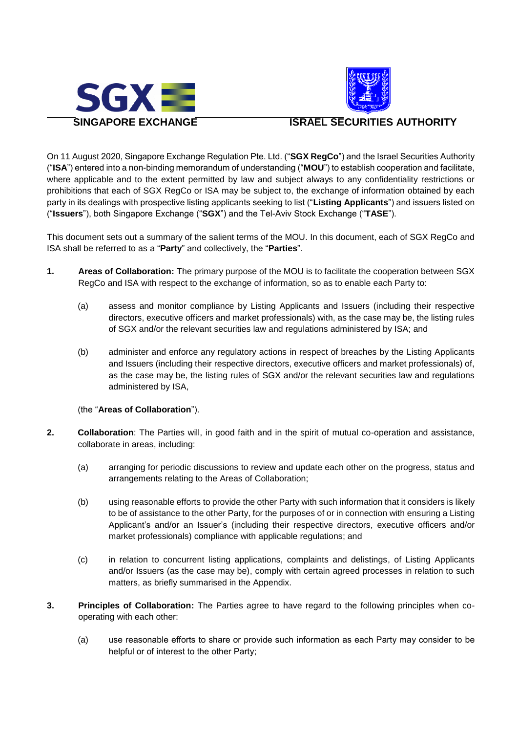



# **SINGAPORE EXCHANGE ISRAEL SECURITIES AUTHORITY**

On 11 August 2020, Singapore Exchange Regulation Pte. Ltd. ("**SGX RegCo**") and the Israel Securities Authority ("**ISA**") entered into a non-binding memorandum of understanding ("**MOU**") to establish cooperation and facilitate, where applicable and to the extent permitted by law and subject always to any confidentiality restrictions or prohibitions that each of SGX RegCo or ISA may be subject to, the exchange of information obtained by each party in its dealings with prospective listing applicants seeking to list ("**Listing Applicants**") and issuers listed on ("**Issuers**"), both Singapore Exchange ("**SGX**") and the Tel-Aviv Stock Exchange ("**TASE**").

This document sets out a summary of the salient terms of the MOU. In this document, each of SGX RegCo and ISA shall be referred to as a "**Party**" and collectively, the "**Parties**".

- **1. Areas of Collaboration:** The primary purpose of the MOU is to facilitate the cooperation between SGX RegCo and ISA with respect to the exchange of information, so as to enable each Party to:
	- (a) assess and monitor compliance by Listing Applicants and Issuers (including their respective directors, executive officers and market professionals) with, as the case may be, the listing rules of SGX and/or the relevant securities law and regulations administered by ISA; and
	- (b) administer and enforce any regulatory actions in respect of breaches by the Listing Applicants and Issuers (including their respective directors, executive officers and market professionals) of, as the case may be, the listing rules of SGX and/or the relevant securities law and regulations administered by ISA,

### (the "**Areas of Collaboration**").

- **2. Collaboration**: The Parties will, in good faith and in the spirit of mutual co-operation and assistance, collaborate in areas, including:
	- (a) arranging for periodic discussions to review and update each other on the progress, status and arrangements relating to the Areas of Collaboration;
	- (b) using reasonable efforts to provide the other Party with such information that it considers is likely to be of assistance to the other Party, for the purposes of or in connection with ensuring a Listing Applicant's and/or an Issuer's (including their respective directors, executive officers and/or market professionals) compliance with applicable regulations; and
	- (c) in relation to concurrent listing applications, complaints and delistings, of Listing Applicants and/or Issuers (as the case may be), comply with certain agreed processes in relation to such matters, as briefly summarised in the Appendix.
- **3. Principles of Collaboration:** The Parties agree to have regard to the following principles when cooperating with each other:
	- (a) use reasonable efforts to share or provide such information as each Party may consider to be helpful or of interest to the other Party;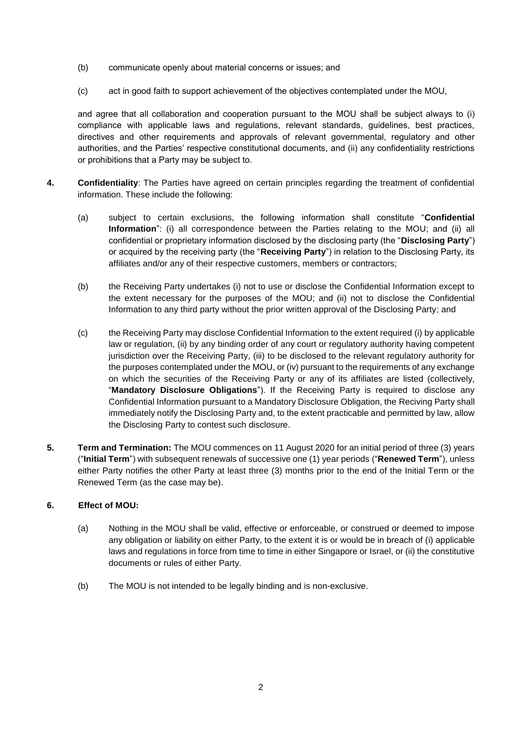- (b) communicate openly about material concerns or issues; and
- (c) act in good faith to support achievement of the objectives contemplated under the MOU,

and agree that all collaboration and cooperation pursuant to the MOU shall be subject always to (i) compliance with applicable laws and regulations, relevant standards, guidelines, best practices, directives and other requirements and approvals of relevant governmental, regulatory and other authorities, and the Parties' respective constitutional documents, and (ii) any confidentiality restrictions or prohibitions that a Party may be subject to.

- **4. Confidentiality**: The Parties have agreed on certain principles regarding the treatment of confidential information. These include the following:
	- (a) subject to certain exclusions, the following information shall constitute "**Confidential Information**": (i) all correspondence between the Parties relating to the MOU; and (ii) all confidential or proprietary information disclosed by the disclosing party (the "**Disclosing Party**") or acquired by the receiving party (the "**Receiving Party**") in relation to the Disclosing Party, its affiliates and/or any of their respective customers, members or contractors;
	- (b) the Receiving Party undertakes (i) not to use or disclose the Confidential Information except to the extent necessary for the purposes of the MOU; and (ii) not to disclose the Confidential Information to any third party without the prior written approval of the Disclosing Party; and
	- (c) the Receiving Party may disclose Confidential Information to the extent required (i) by applicable law or regulation, (ii) by any binding order of any court or regulatory authority having competent jurisdiction over the Receiving Party, (iii) to be disclosed to the relevant regulatory authority for the purposes contemplated under the MOU, or (iv) pursuant to the requirements of any exchange on which the securities of the Receiving Party or any of its affiliates are listed (collectively, "**Mandatory Disclosure Obligations**"). If the Receiving Party is required to disclose any Confidential Information pursuant to a Mandatory Disclosure Obligation, the Reciving Party shall immediately notify the Disclosing Party and, to the extent practicable and permitted by law, allow the Disclosing Party to contest such disclosure.
- **5. Term and Termination:** The MOU commences on 11 August 2020 for an initial period of three (3) years ("**Initial Term**") with subsequent renewals of successive one (1) year periods ("**Renewed Term**"), unless either Party notifies the other Party at least three (3) months prior to the end of the Initial Term or the Renewed Term (as the case may be).

## **6. Effect of MOU:**

- (a) Nothing in the MOU shall be valid, effective or enforceable, or construed or deemed to impose any obligation or liability on either Party, to the extent it is or would be in breach of (i) applicable laws and regulations in force from time to time in either Singapore or Israel, or (ii) the constitutive documents or rules of either Party.
- (b) The MOU is not intended to be legally binding and is non-exclusive.